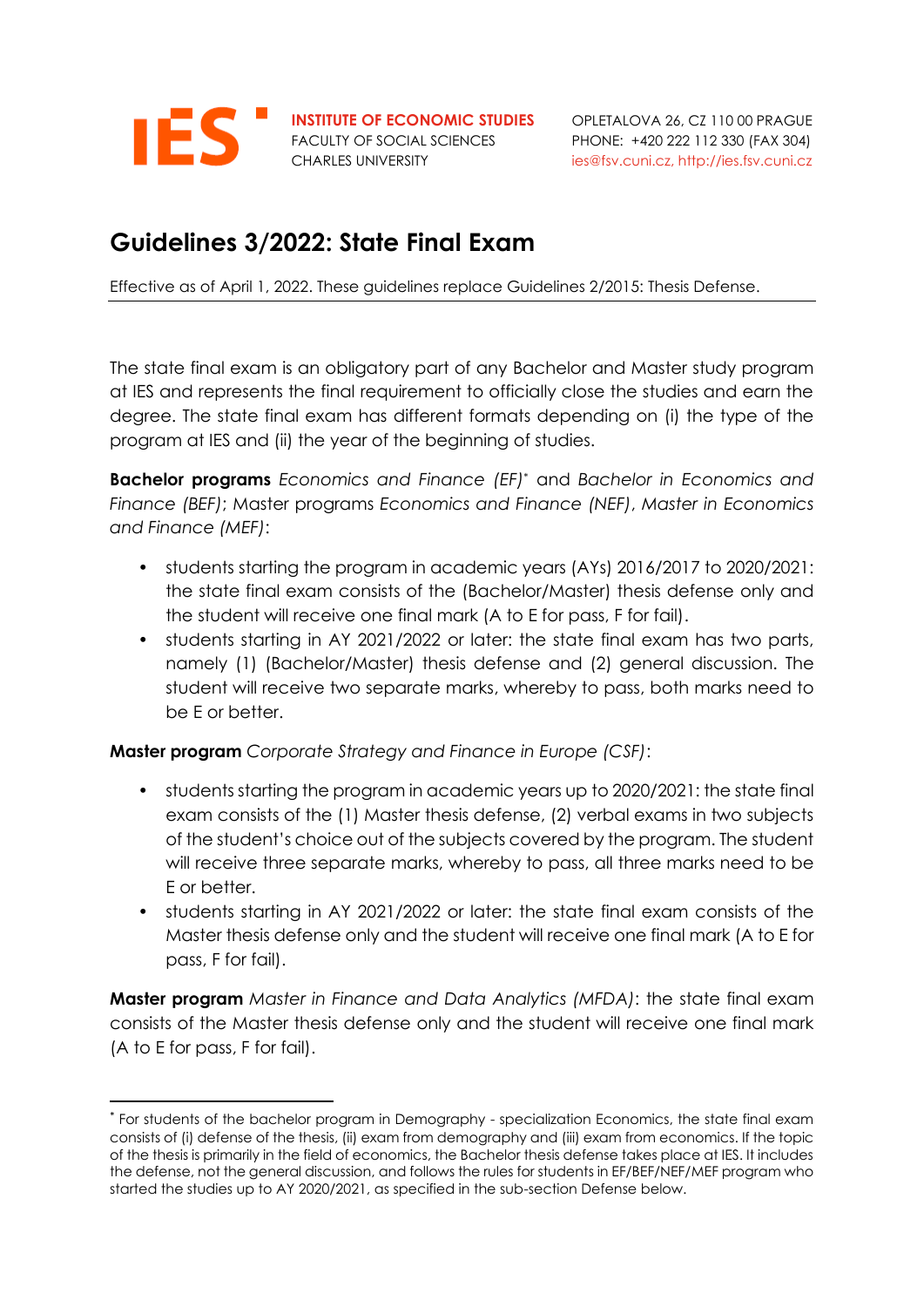

FACULTY OF SOCIAL SCIENCES PHONE: +420 222 112 330 (FAX 304)

# **Guidelines 3/2022: State Final Exam**

Effective as of April 1, 2022. These guidelines replace Guidelines 2/2015: Thesis Defense.

The state final exam is an obligatory part of any Bachelor and Master study program at IES and represents the final requirement to officially close the studies and earn the degree. The state final exam has different formats depending on (i) the type of the program at IES and (ii) the year of the beginning of studies.

**Bachelor programs** *Economics and Finance (EF)* \* and *Bachelor in Economics and Finance (BEF)*; Master programs *Economics and Finance (NEF)*, *Master in Economics and Finance (MEF)*:

- students starting the program in academic years (AYs) 2016/2017 to 2020/2021: the state final exam consists of the (Bachelor/Master) thesis defense only and the student will receive one final mark (A to E for pass, F for fail).
- students starting in AY 2021/2022 or later: the state final exam has two parts, namely (1) (Bachelor/Master) thesis defense and (2) general discussion. The student will receive two separate marks, whereby to pass, both marks need to be E or better.

**Master program** *Corporate Strategy and Finance in Europe (CSF)*:

- students starting the program in academic years up to 2020/2021: the state final exam consists of the (1) Master thesis defense, (2) verbal exams in two subjects of the student's choice out of the subjects covered by the program. The student will receive three separate marks, whereby to pass, all three marks need to be E or better.
- students starting in AY 2021/2022 or later: the state final exam consists of the Master thesis defense only and the student will receive one final mark (A to E for pass, F for fail).

**Master program** *Master in Finance and Data Analytics (MFDA)*: the state final exam consists of the Master thesis defense only and the student will receive one final mark (A to E for pass, F for fail).

<sup>\*</sup> For students of the bachelor program in Demography - specialization Economics, the state final exam consists of (i) defense of the thesis, (ii) exam from demography and (iii) exam from economics. If the topic of the thesis is primarily in the field of economics, the Bachelor thesis defense takes place at IES. It includes the defense, not the general discussion, and follows the rules for students in EF/BEF/NEF/MEF program who started the studies up to AY 2020/2021, as specified in the sub-section Defense below.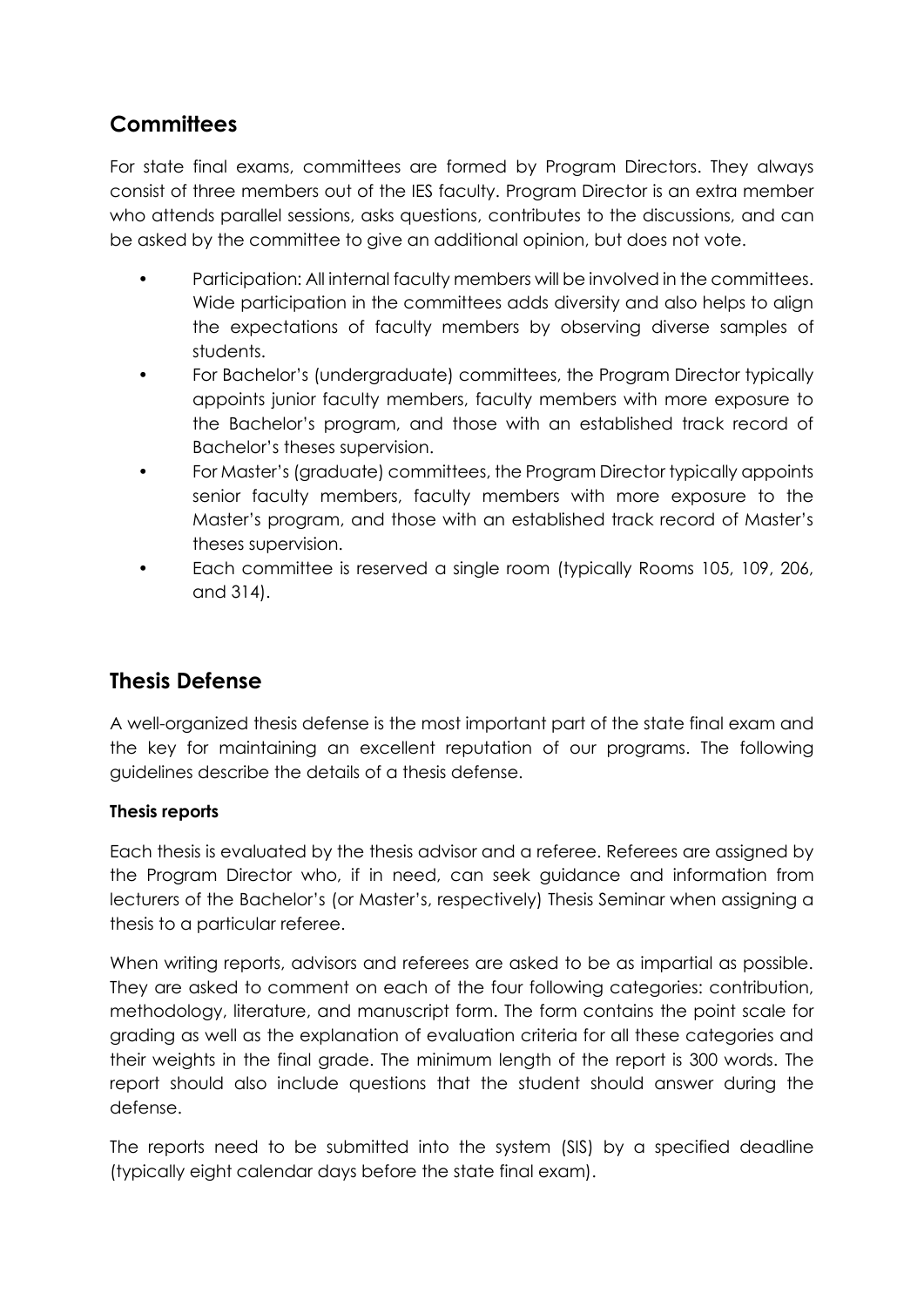### **Committees**

For state final exams, committees are formed by Program Directors. They always consist of three members out of the IES faculty. Program Director is an extra member who attends parallel sessions, asks questions, contributes to the discussions, and can be asked by the committee to give an additional opinion, but does not vote.

- Participation: All internal faculty members will be involved in the committees. Wide participation in the committees adds diversity and also helps to align the expectations of faculty members by observing diverse samples of students.
- For Bachelor's (undergraduate) committees, the Program Director typically appoints junior faculty members, faculty members with more exposure to the Bachelor's program, and those with an established track record of Bachelor's theses supervision.
- For Master's (graduate) committees, the Program Director typically appoints senior faculty members, faculty members with more exposure to the Master's program, and those with an established track record of Master's theses supervision.
- Each committee is reserved a single room (typically Rooms 105, 109, 206, and 314).

### **Thesis Defense**

A well-organized thesis defense is the most important part of the state final exam and the key for maintaining an excellent reputation of our programs. The following guidelines describe the details of a thesis defense.

#### **Thesis reports**

Each thesis is evaluated by the thesis advisor and a referee. Referees are assigned by the Program Director who, if in need, can seek guidance and information from lecturers of the Bachelor's (or Master's, respectively) Thesis Seminar when assigning a thesis to a particular referee.

When writing reports, advisors and referees are asked to be as impartial as possible. They are asked to comment on each of the four following categories: contribution, methodology, literature, and manuscript form. The form contains the point scale for grading as well as the explanation of evaluation criteria for all these categories and their weights in the final grade. The minimum length of the report is 300 words. The report should also include questions that the student should answer during the defense.

The reports need to be submitted into the system (SIS) by a specified deadline (typically eight calendar days before the state final exam).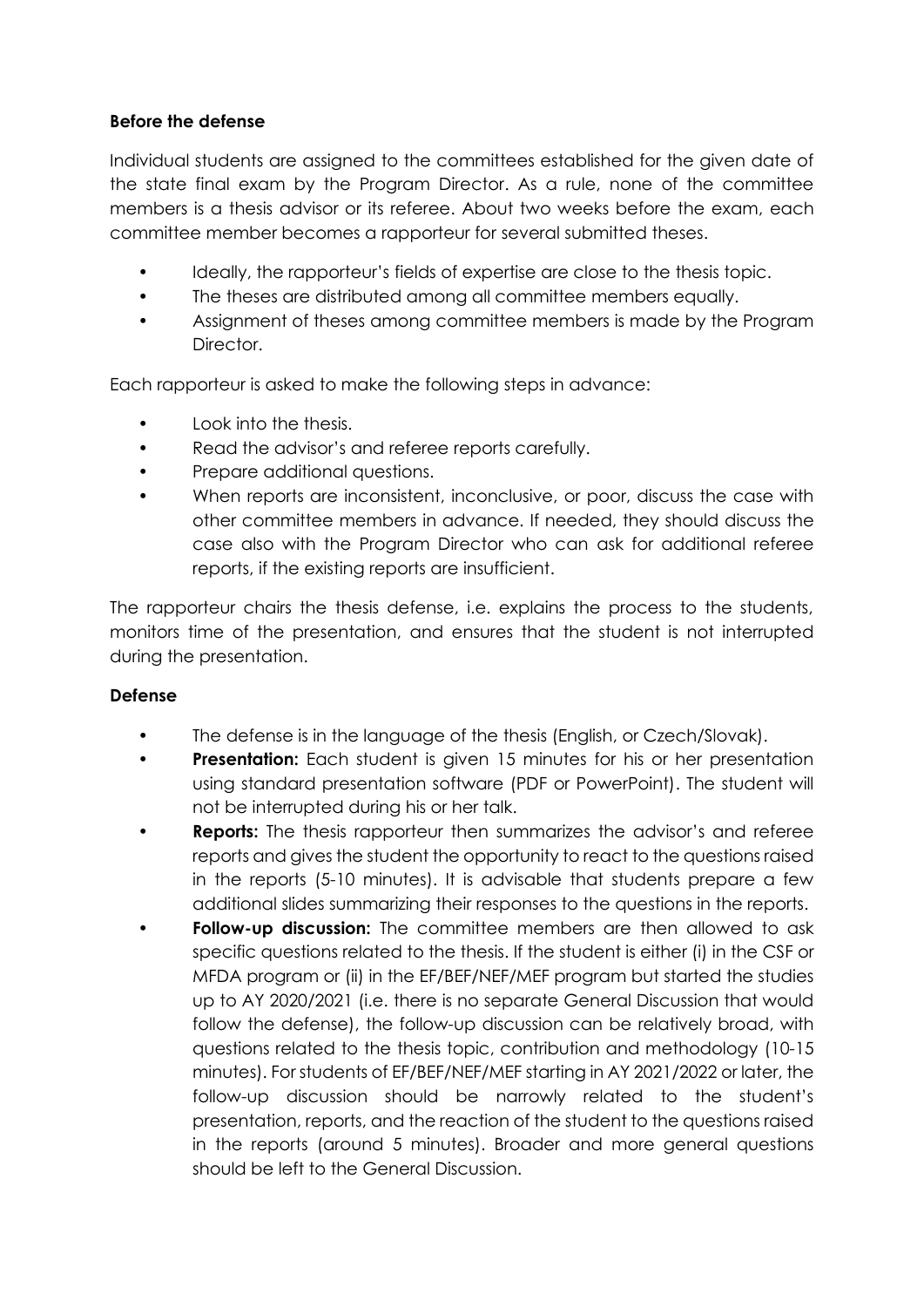#### **Before the defense**

Individual students are assigned to the committees established for the given date of the state final exam by the Program Director. As a rule, none of the committee members is a thesis advisor or its referee. About two weeks before the exam, each committee member becomes a rapporteur for several submitted theses.

- Ideally, the rapporteur's fields of expertise are close to the thesis topic.
- The theses are distributed among all committee members equally.
- Assignment of theses among committee members is made by the Program Director.

Each rapporteur is asked to make the following steps in advance:

- Look into the thesis.
- Read the advisor's and referee reports carefully.
- Prepare additional questions.
- When reports are inconsistent, inconclusive, or poor, discuss the case with other committee members in advance. If needed, they should discuss the case also with the Program Director who can ask for additional referee reports, if the existing reports are insufficient.

The rapporteur chairs the thesis defense, i.e. explains the process to the students, monitors time of the presentation, and ensures that the student is not interrupted during the presentation.

#### **Defense**

- The defense is in the language of the thesis (English, or Czech/Slovak).
- **Presentation:** Each student is given 15 minutes for his or her presentation using standard presentation software (PDF or PowerPoint). The student will not be interrupted during his or her talk.
- **Reports:** The thesis rapporteur then summarizes the advisor's and referee reports and gives the student the opportunity to react to the questions raised in the reports (5-10 minutes). It is advisable that students prepare a few additional slides summarizing their responses to the questions in the reports.
- **Follow-up discussion:** The committee members are then allowed to ask specific questions related to the thesis. If the student is either (i) in the CSF or MFDA program or (ii) in the EF/BEF/NEF/MEF program but started the studies up to AY 2020/2021 (i.e. there is no separate General Discussion that would follow the defense), the follow-up discussion can be relatively broad, with questions related to the thesis topic, contribution and methodology (10-15 minutes). For students of EF/BEF/NEF/MEF starting in AY 2021/2022 or later, the follow-up discussion should be narrowly related to the student's presentation, reports, and the reaction of the student to the questions raised in the reports (around 5 minutes). Broader and more general questions should be left to the General Discussion.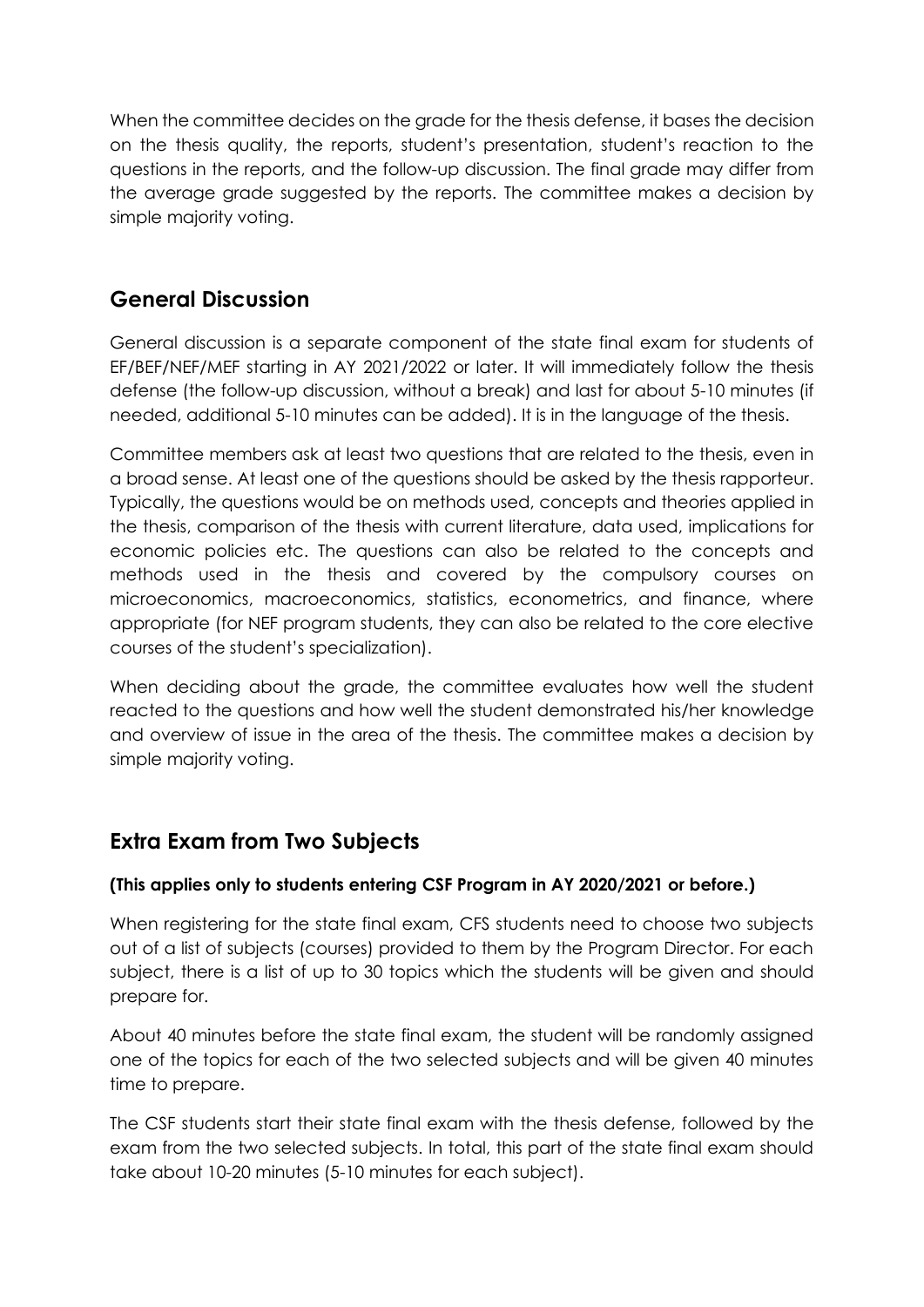When the committee decides on the grade for the thesis defense, it bases the decision on the thesis quality, the reports, student's presentation, student's reaction to the questions in the reports, and the follow-up discussion. The final grade may differ from the average grade suggested by the reports. The committee makes a decision by simple majority voting.

## **General Discussion**

General discussion is a separate component of the state final exam for students of EF/BEF/NEF/MEF starting in AY 2021/2022 or later. It will immediately follow the thesis defense (the follow-up discussion, without a break) and last for about 5-10 minutes (if needed, additional 5-10 minutes can be added). It is in the language of the thesis.

Committee members ask at least two questions that are related to the thesis, even in a broad sense. At least one of the questions should be asked by the thesis rapporteur. Typically, the questions would be on methods used, concepts and theories applied in the thesis, comparison of the thesis with current literature, data used, implications for economic policies etc. The questions can also be related to the concepts and methods used in the thesis and covered by the compulsory courses on microeconomics, macroeconomics, statistics, econometrics, and finance, where appropriate (for NEF program students, they can also be related to the core elective courses of the student's specialization).

When deciding about the grade, the committee evaluates how well the student reacted to the questions and how well the student demonstrated his/her knowledge and overview of issue in the area of the thesis. The committee makes a decision by simple majority voting.

## **Extra Exam from Two Subjects**

#### **(This applies only to students entering CSF Program in AY 2020/2021 or before.)**

When registering for the state final exam, CFS students need to choose two subjects out of a list of subjects (courses) provided to them by the Program Director. For each subject, there is a list of up to 30 topics which the students will be given and should prepare for.

About 40 minutes before the state final exam, the student will be randomly assigned one of the topics for each of the two selected subjects and will be given 40 minutes time to prepare.

The CSF students start their state final exam with the thesis defense, followed by the exam from the two selected subjects. In total, this part of the state final exam should take about 10-20 minutes (5-10 minutes for each subject).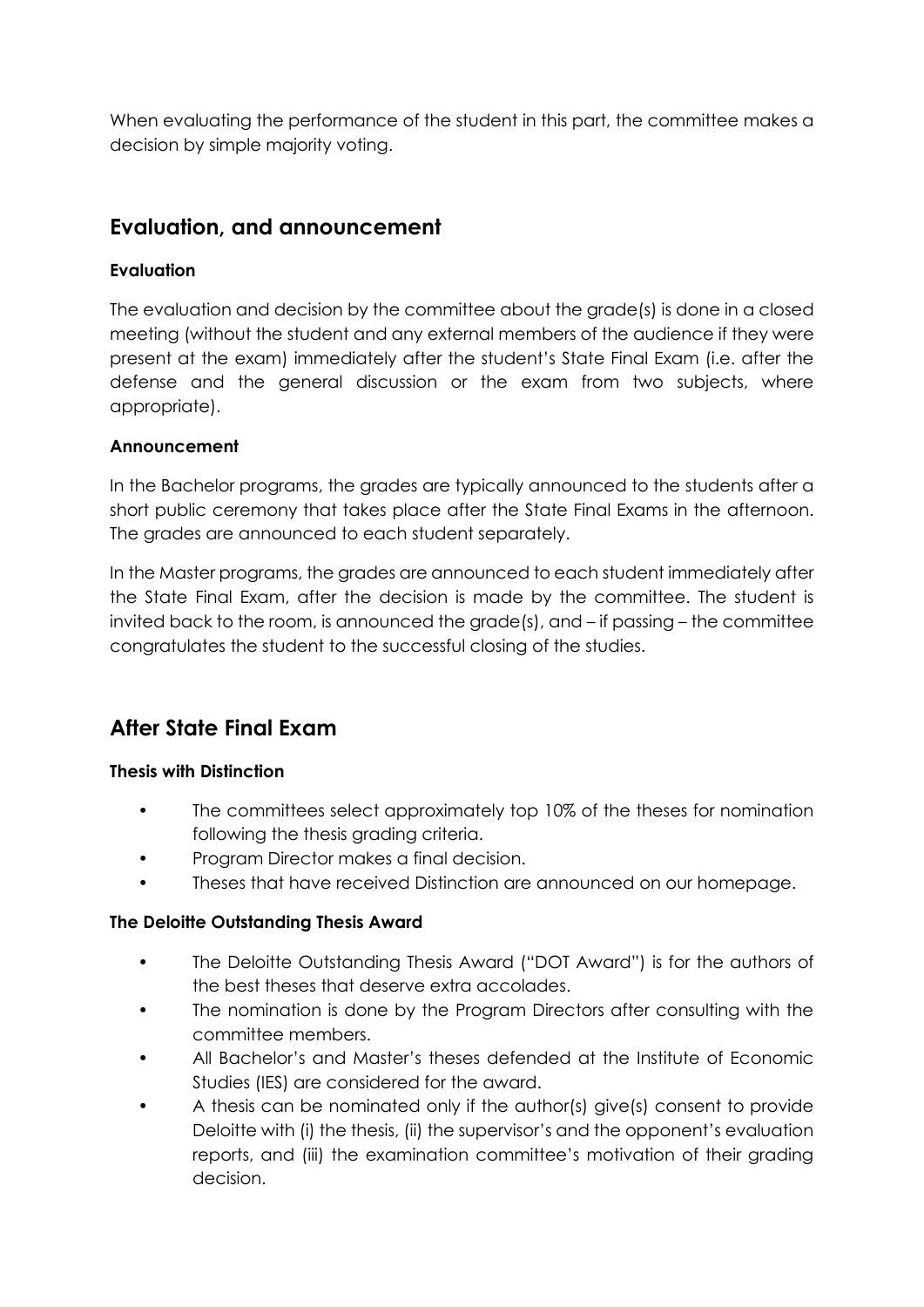When evaluating the performance of the student in this part, the committee makes a decision by simple majority voting.

### **Evaluation, and announcement**

#### **Evaluation**

The evaluation and decision by the committee about the grade(s) is done in a closed meeting (without the student and any external members of the audience if they were present at the exam) immediately after the student's State Final Exam (i.e. after the defense and the general discussion or the exam from two subjects, where appropriate).

#### **Announcement**

In the Bachelor programs, the grades are typically announced to the students after a short public ceremony that takes place after the State Final Exams in the afternoon. The grades are announced to each student separately.

In the Master programs, the grades are announced to each student immediately after the State Final Exam, after the decision is made by the committee. The student is invited back to the room, is announced the grade(s), and – if passing – the committee congratulates the student to the successful closing of the studies.

### **After State Final Exam**

#### **Thesis with Distinction**

- The committees select approximately top 10% of the theses for nomination following the thesis grading criteria.
- Program Director makes a final decision.
- Theses that have received Distinction are announced on our homepage.

#### **The Deloitte Outstanding Thesis Award**

- The Deloitte Outstanding Thesis Award ("DOT Award") is for the authors of the best theses that deserve extra accolades.
- The nomination is done by the Program Directors after consulting with the committee members.
- All Bachelor's and Master's theses defended at the Institute of Economic Studies (IES) are considered for the award.
- A thesis can be nominated only if the author(s) give(s) consent to provide Deloitte with (i) the thesis, (ii) the supervisor's and the opponent's evaluation reports, and (iii) the examination committee's motivation of their grading decision.